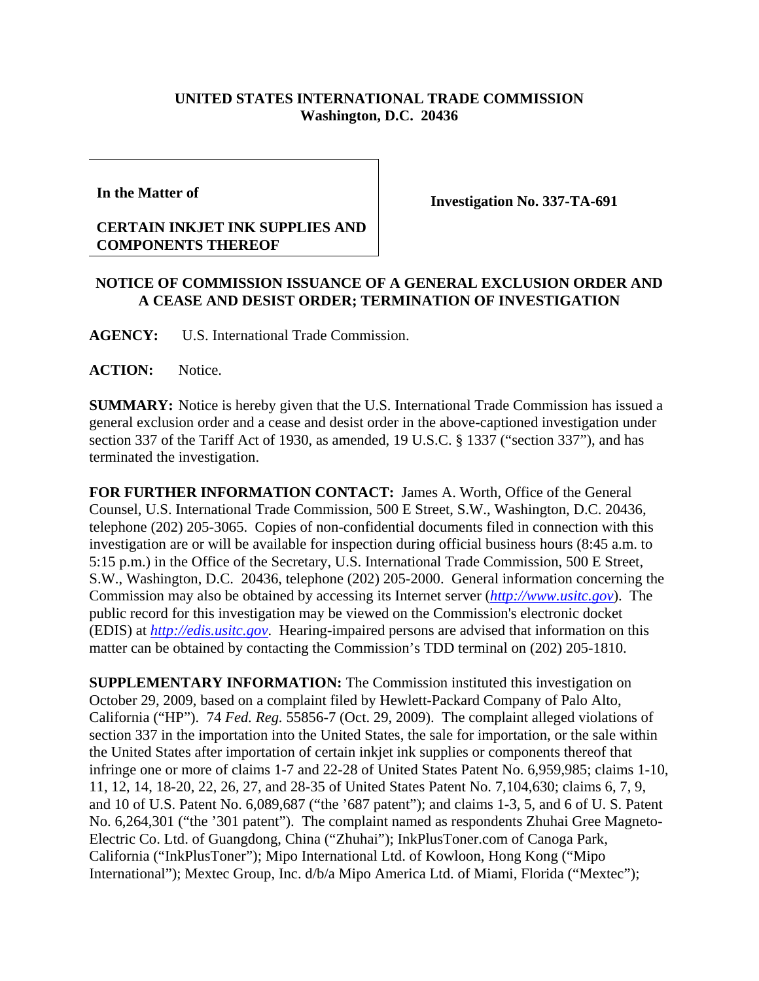## **UNITED STATES INTERNATIONAL TRADE COMMISSION Washington, D.C. 20436**

**In the Matter of**

## **CERTAIN INKJET INK SUPPLIES AND COMPONENTS THEREOF**

**Investigation No. 337-TA-691**

## **NOTICE OF COMMISSION ISSUANCE OF A GENERAL EXCLUSION ORDER AND A CEASE AND DESIST ORDER; TERMINATION OF INVESTIGATION**

**AGENCY:** U.S. International Trade Commission.

**ACTION:** Notice.

**SUMMARY:** Notice is hereby given that the U.S. International Trade Commission has issued a general exclusion order and a cease and desist order in the above-captioned investigation under section 337 of the Tariff Act of 1930, as amended, 19 U.S.C. § 1337 ("section 337"), and has terminated the investigation.

**FOR FURTHER INFORMATION CONTACT:** James A. Worth, Office of the General Counsel, U.S. International Trade Commission, 500 E Street, S.W., Washington, D.C. 20436, telephone (202) 205-3065. Copies of non-confidential documents filed in connection with this investigation are or will be available for inspection during official business hours (8:45 a.m. to 5:15 p.m.) in the Office of the Secretary, U.S. International Trade Commission, 500 E Street, S.W., Washington, D.C. 20436, telephone (202) 205-2000. General information concerning the Commission may also be obtained by accessing its Internet server (*http://www.usitc.gov*). The public record for this investigation may be viewed on the Commission's electronic docket (EDIS) at *http://edis.usitc.gov*. Hearing-impaired persons are advised that information on this matter can be obtained by contacting the Commission's TDD terminal on (202) 205-1810.

**SUPPLEMENTARY INFORMATION:** The Commission instituted this investigation on October 29, 2009, based on a complaint filed by Hewlett-Packard Company of Palo Alto, California ("HP"). 74 *Fed. Reg.* 55856-7 (Oct. 29, 2009). The complaint alleged violations of section 337 in the importation into the United States, the sale for importation, or the sale within the United States after importation of certain inkjet ink supplies or components thereof that infringe one or more of claims 1-7 and 22-28 of United States Patent No. 6,959,985; claims 1-10, 11, 12, 14, 18-20, 22, 26, 27, and 28-35 of United States Patent No. 7,104,630; claims 6, 7, 9, and 10 of U.S. Patent No. 6,089,687 ("the '687 patent"); and claims 1-3, 5, and 6 of U. S. Patent No. 6,264,301 ("the '301 patent"). The complaint named as respondents Zhuhai Gree Magneto-Electric Co. Ltd. of Guangdong, China ("Zhuhai"); InkPlusToner.com of Canoga Park, California ("InkPlusToner"); Mipo International Ltd. of Kowloon, Hong Kong ("Mipo International"); Mextec Group, Inc. d/b/a Mipo America Ltd. of Miami, Florida ("Mextec");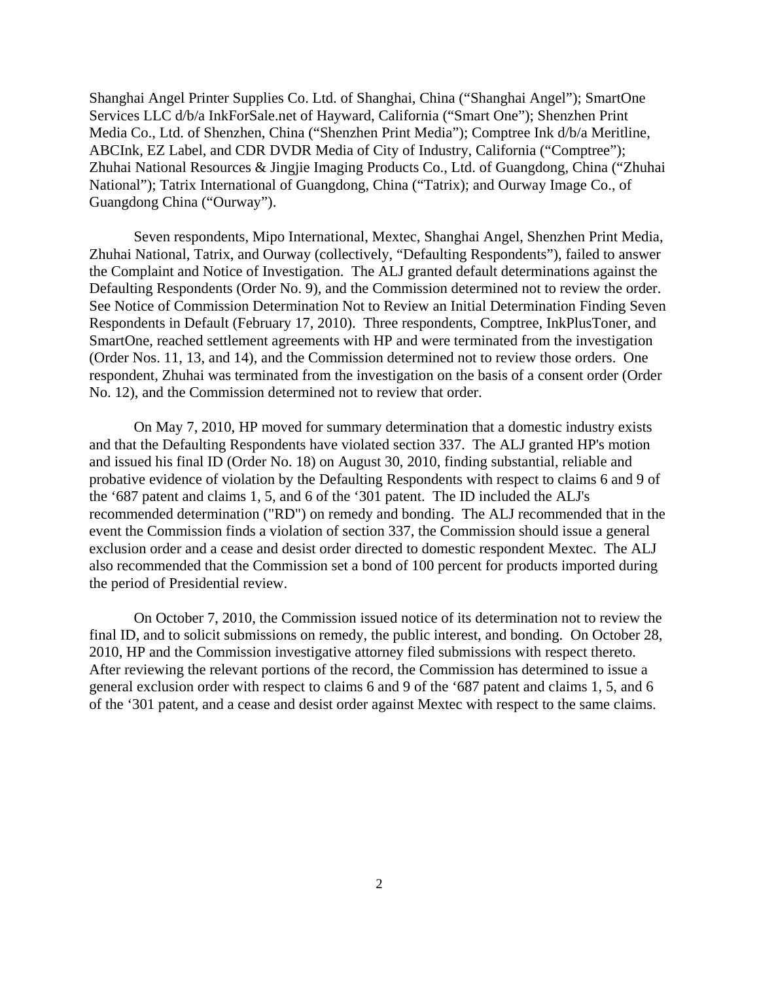Shanghai Angel Printer Supplies Co. Ltd. of Shanghai, China ("Shanghai Angel"); SmartOne Services LLC d/b/a InkForSale.net of Hayward, California ("Smart One"); Shenzhen Print Media Co., Ltd. of Shenzhen, China ("Shenzhen Print Media"); Comptree Ink d/b/a Meritline, ABCInk, EZ Label, and CDR DVDR Media of City of Industry, California ("Comptree"); Zhuhai National Resources & Jingjie Imaging Products Co., Ltd. of Guangdong, China ("Zhuhai National"); Tatrix International of Guangdong, China ("Tatrix); and Ourway Image Co., of Guangdong China ("Ourway").

Seven respondents, Mipo International, Mextec, Shanghai Angel, Shenzhen Print Media, Zhuhai National, Tatrix, and Ourway (collectively, "Defaulting Respondents"), failed to answer the Complaint and Notice of Investigation. The ALJ granted default determinations against the Defaulting Respondents (Order No. 9), and the Commission determined not to review the order. See Notice of Commission Determination Not to Review an Initial Determination Finding Seven Respondents in Default (February 17, 2010). Three respondents, Comptree, InkPlusToner, and SmartOne, reached settlement agreements with HP and were terminated from the investigation (Order Nos. 11, 13, and 14), and the Commission determined not to review those orders. One respondent, Zhuhai was terminated from the investigation on the basis of a consent order (Order No. 12), and the Commission determined not to review that order.

On May 7, 2010, HP moved for summary determination that a domestic industry exists and that the Defaulting Respondents have violated section 337. The ALJ granted HP's motion and issued his final ID (Order No. 18) on August 30, 2010, finding substantial, reliable and probative evidence of violation by the Defaulting Respondents with respect to claims 6 and 9 of the '687 patent and claims 1, 5, and 6 of the '301 patent. The ID included the ALJ's recommended determination ("RD") on remedy and bonding. The ALJ recommended that in the event the Commission finds a violation of section 337, the Commission should issue a general exclusion order and a cease and desist order directed to domestic respondent Mextec. The ALJ also recommended that the Commission set a bond of 100 percent for products imported during the period of Presidential review.

On October 7, 2010, the Commission issued notice of its determination not to review the final ID, and to solicit submissions on remedy, the public interest, and bonding. On October 28, 2010, HP and the Commission investigative attorney filed submissions with respect thereto. After reviewing the relevant portions of the record, the Commission has determined to issue a general exclusion order with respect to claims 6 and 9 of the '687 patent and claims 1, 5, and 6 of the '301 patent, and a cease and desist order against Mextec with respect to the same claims.